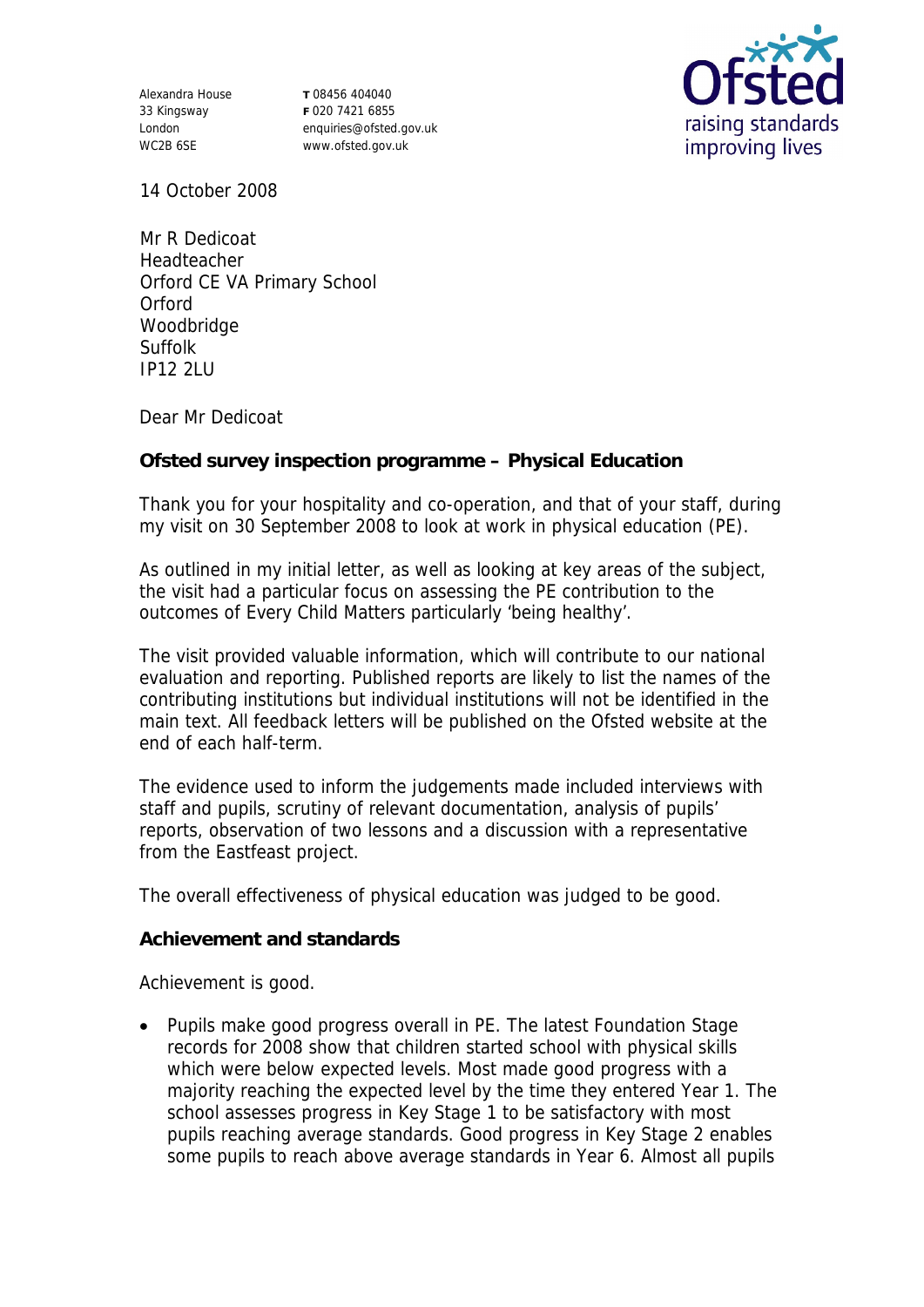Alexandra House 33 Kingsway London WC2B 6SE

**T** 08456 404040 **F** 020 7421 6855 enquiries@ofsted.gov.uk www.ofsted.gov.uk



14 October 2008

Mr R Dedicoat Headteacher Orford CE VA Primary School **Orford** Woodbridge Suffolk IP12 2LU

Dear Mr Dedicoat

**Ofsted survey inspection programme – Physical Education**

Thank you for your hospitality and co-operation, and that of your staff, during my visit on 30 September 2008 to look at work in physical education (PE).

As outlined in my initial letter, as well as looking at key areas of the subject, the visit had a particular focus on assessing the PE contribution to the outcomes of Every Child Matters particularly 'being healthy'.

The visit provided valuable information, which will contribute to our national evaluation and reporting. Published reports are likely to list the names of the contributing institutions but individual institutions will not be identified in the main text. All feedback letters will be published on the Ofsted website at the end of each half-term.

The evidence used to inform the judgements made included interviews with staff and pupils, scrutiny of relevant documentation, analysis of pupils' reports, observation of two lessons and a discussion with a representative from the Eastfeast project.

The overall effectiveness of physical education was judged to be good.

**Achievement and standards** 

Achievement is good.

• Pupils make good progress overall in PE. The latest Foundation Stage records for 2008 show that children started school with physical skills which were below expected levels. Most made good progress with a majority reaching the expected level by the time they entered Year 1. The school assesses progress in Key Stage 1 to be satisfactory with most pupils reaching average standards. Good progress in Key Stage 2 enables some pupils to reach above average standards in Year 6. Almost all pupils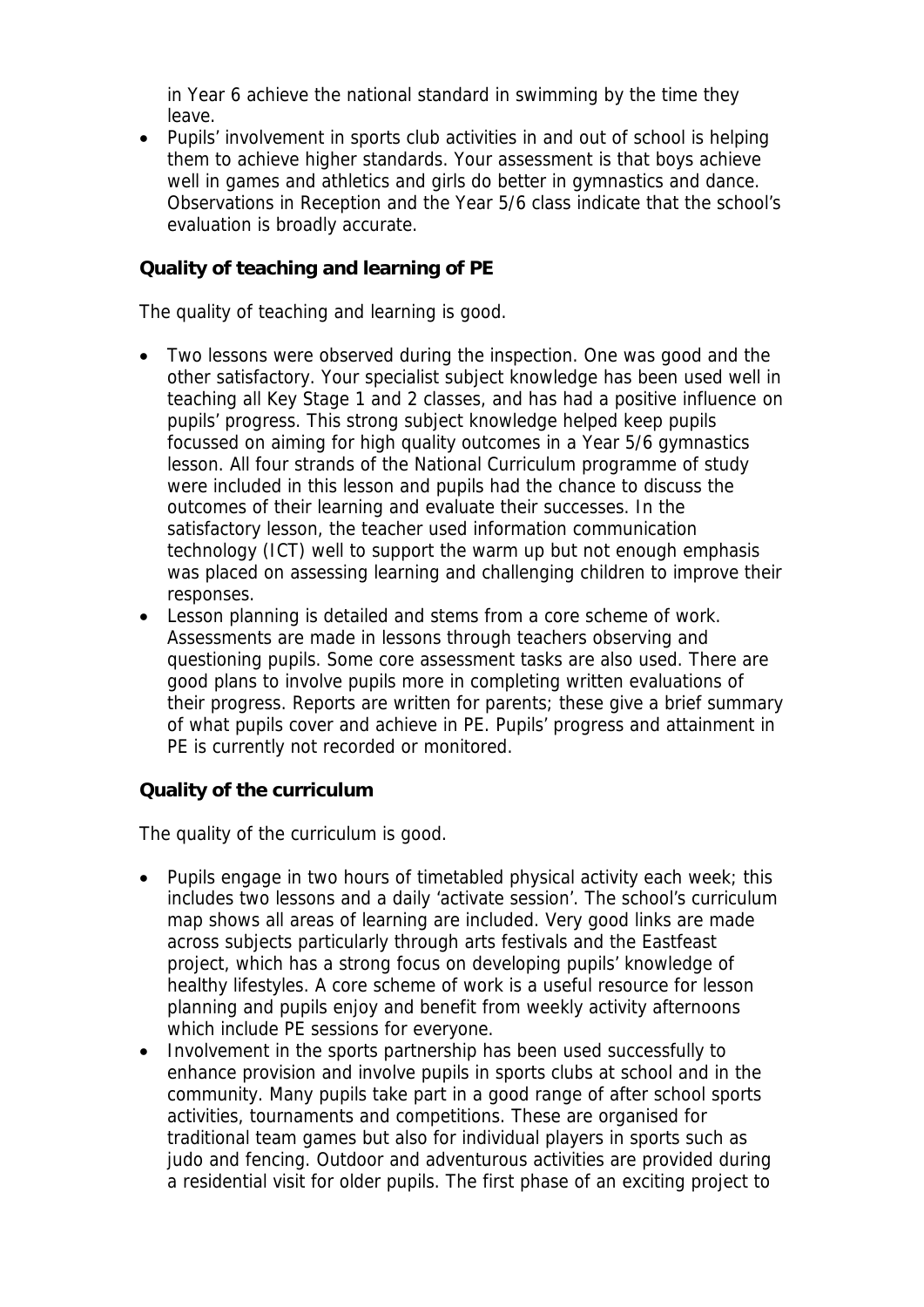in Year 6 achieve the national standard in swimming by the time they leave.

 Pupils' involvement in sports club activities in and out of school is helping them to achieve higher standards. Your assessment is that boys achieve well in games and athletics and girls do better in gymnastics and dance. Observations in Reception and the Year 5/6 class indicate that the school's evaluation is broadly accurate.

## **Quality of teaching and learning of PE**

The quality of teaching and learning is good.

- Two lessons were observed during the inspection. One was good and the other satisfactory. Your specialist subject knowledge has been used well in teaching all Key Stage 1 and 2 classes, and has had a positive influence on pupils' progress. This strong subject knowledge helped keep pupils focussed on aiming for high quality outcomes in a Year 5/6 gymnastics lesson. All four strands of the National Curriculum programme of study were included in this lesson and pupils had the chance to discuss the outcomes of their learning and evaluate their successes. In the satisfactory lesson, the teacher used information communication technology (ICT) well to support the warm up but not enough emphasis was placed on assessing learning and challenging children to improve their responses.
- Lesson planning is detailed and stems from a core scheme of work. Assessments are made in lessons through teachers observing and questioning pupils. Some core assessment tasks are also used. There are good plans to involve pupils more in completing written evaluations of their progress. Reports are written for parents; these give a brief summary of what pupils cover and achieve in PE. Pupils' progress and attainment in PE is currently not recorded or monitored.

## **Quality of the curriculum**

The quality of the curriculum is good.

- Pupils engage in two hours of timetabled physical activity each week; this includes two lessons and a daily 'activate session'. The school's curriculum map shows all areas of learning are included. Very good links are made across subjects particularly through arts festivals and the Eastfeast project, which has a strong focus on developing pupils' knowledge of healthy lifestyles. A core scheme of work is a useful resource for lesson planning and pupils enjoy and benefit from weekly activity afternoons which include PE sessions for everyone.
- Involvement in the sports partnership has been used successfully to enhance provision and involve pupils in sports clubs at school and in the community. Many pupils take part in a good range of after school sports activities, tournaments and competitions. These are organised for traditional team games but also for individual players in sports such as judo and fencing. Outdoor and adventurous activities are provided during a residential visit for older pupils. The first phase of an exciting project to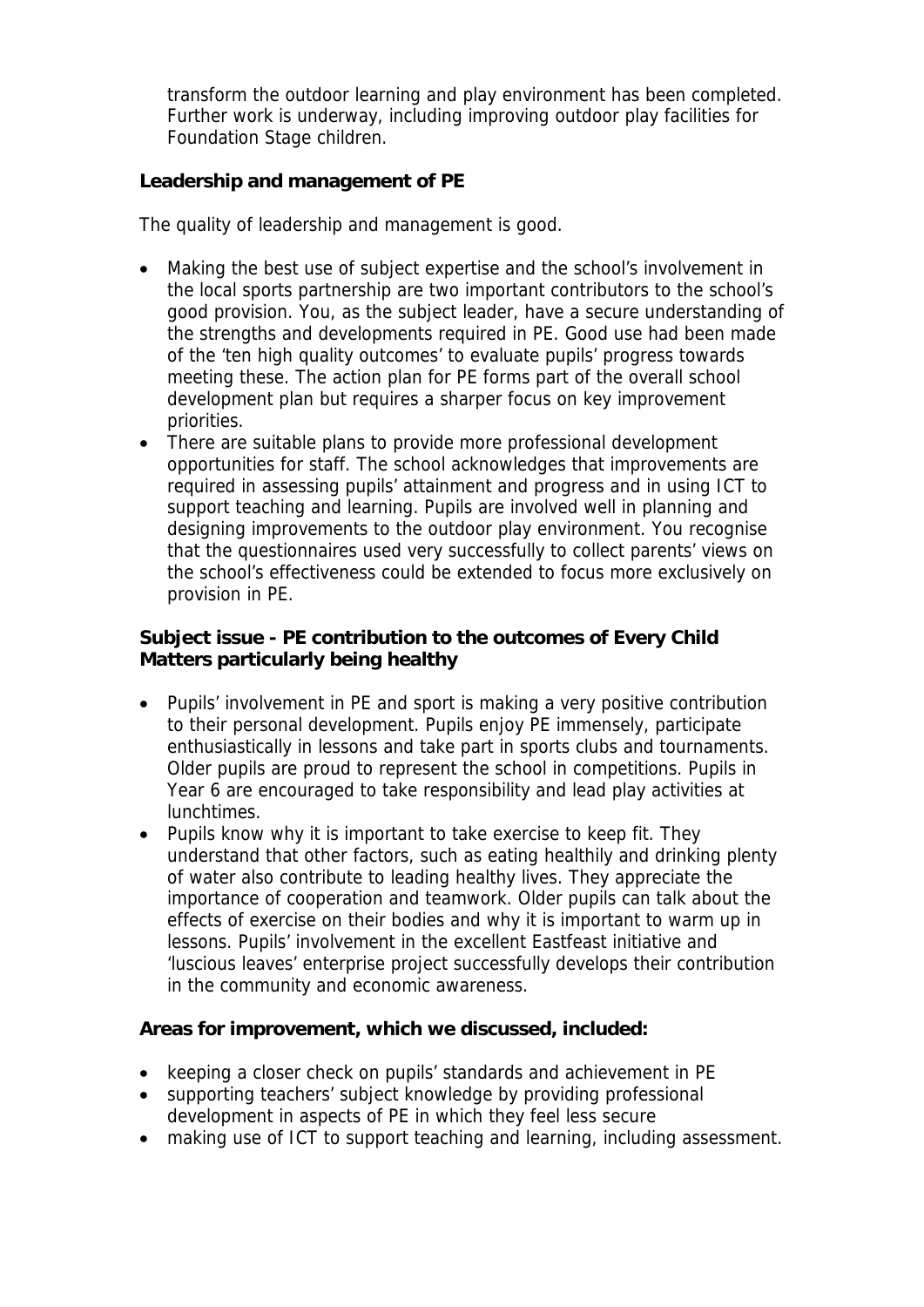transform the outdoor learning and play environment has been completed. Further work is underway, including improving outdoor play facilities for Foundation Stage children.

**Leadership and management of PE**

The quality of leadership and management is good.

- Making the best use of subject expertise and the school's involvement in the local sports partnership are two important contributors to the school's good provision. You, as the subject leader, have a secure understanding of the strengths and developments required in PE. Good use had been made of the 'ten high quality outcomes' to evaluate pupils' progress towards meeting these. The action plan for PE forms part of the overall school development plan but requires a sharper focus on key improvement priorities.
- There are suitable plans to provide more professional development opportunities for staff. The school acknowledges that improvements are required in assessing pupils' attainment and progress and in using ICT to support teaching and learning. Pupils are involved well in planning and designing improvements to the outdoor play environment. You recognise that the questionnaires used very successfully to collect parents' views on the school's effectiveness could be extended to focus more exclusively on provision in PE.

**Subject issue - PE contribution to the outcomes of Every Child Matters particularly being healthy**

- Pupils' involvement in PE and sport is making a very positive contribution to their personal development. Pupils enjoy PE immensely, participate enthusiastically in lessons and take part in sports clubs and tournaments. Older pupils are proud to represent the school in competitions. Pupils in Year 6 are encouraged to take responsibility and lead play activities at lunchtimes.
- Pupils know why it is important to take exercise to keep fit. They understand that other factors, such as eating healthily and drinking plenty of water also contribute to leading healthy lives. They appreciate the importance of cooperation and teamwork. Older pupils can talk about the effects of exercise on their bodies and why it is important to warm up in lessons. Pupils' involvement in the excellent Eastfeast initiative and 'luscious leaves' enterprise project successfully develops their contribution in the community and economic awareness.

**Areas for improvement, which we discussed, included:**

- keeping a closer check on pupils' standards and achievement in PE
- supporting teachers' subject knowledge by providing professional development in aspects of PE in which they feel less secure
- making use of ICT to support teaching and learning, including assessment.